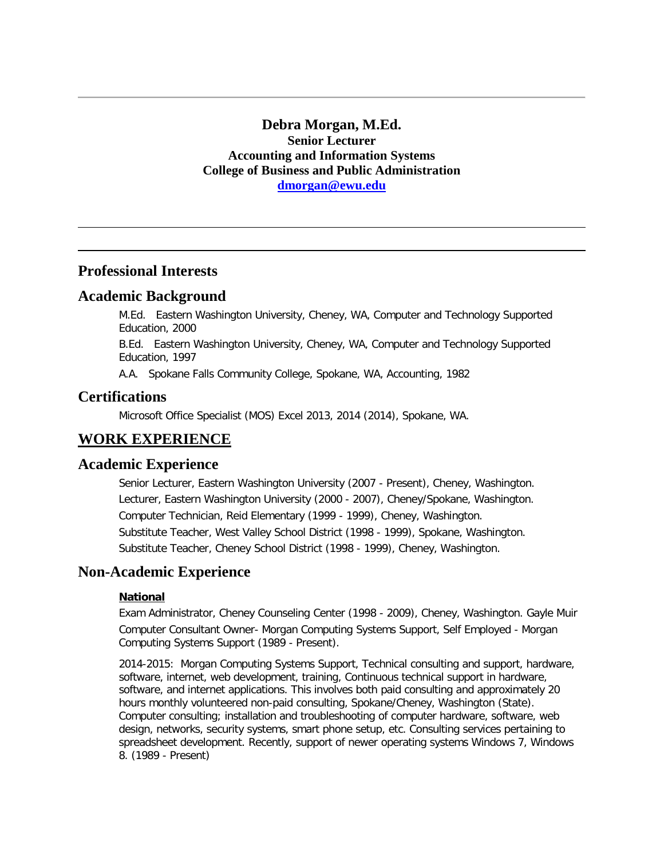## **Debra Morgan, M.Ed. Senior Lecturer Accounting and Information Systems College of Business and Public Administration [dmorgan@ewu.edu](mailto:dmorgan@ewu.edu)**

## **Professional Interests**

## **Academic Background**

M.Ed. Eastern Washington University, Cheney, WA, Computer and Technology Supported Education, 2000

B.Ed. Eastern Washington University, Cheney, WA, Computer and Technology Supported Education, 1997

A.A. Spokane Falls Community College, Spokane, WA, Accounting, 1982

## **Certifications**

Microsoft Office Specialist (MOS) Excel 2013, 2014 (2014), Spokane, WA.

# **WORK EXPERIENCE**

### **Academic Experience**

Senior Lecturer, Eastern Washington University (2007 - Present), Cheney, Washington. Lecturer, Eastern Washington University (2000 - 2007), Cheney/Spokane, Washington. Computer Technician, Reid Elementary (1999 - 1999), Cheney, Washington. Substitute Teacher, West Valley School District (1998 - 1999), Spokane, Washington. Substitute Teacher, Cheney School District (1998 - 1999), Cheney, Washington.

## **Non-Academic Experience**

### **National**

Exam Administrator, Cheney Counseling Center (1998 - 2009), Cheney, Washington. Gayle Muir Computer Consultant Owner- Morgan Computing Systems Support, Self Employed - Morgan Computing Systems Support (1989 - Present).

2014-2015: Morgan Computing Systems Support, Technical consulting and support, hardware, software, internet, web development, training, Continuous technical support in hardware, software, and internet applications. This involves both paid consulting and approximately 20 hours monthly volunteered non-paid consulting, Spokane/Cheney, Washington (State). Computer consulting; installation and troubleshooting of computer hardware, software, web design, networks, security systems, smart phone setup, etc. Consulting services pertaining to spreadsheet development. Recently, support of newer operating systems Windows 7, Windows 8. (1989 - Present)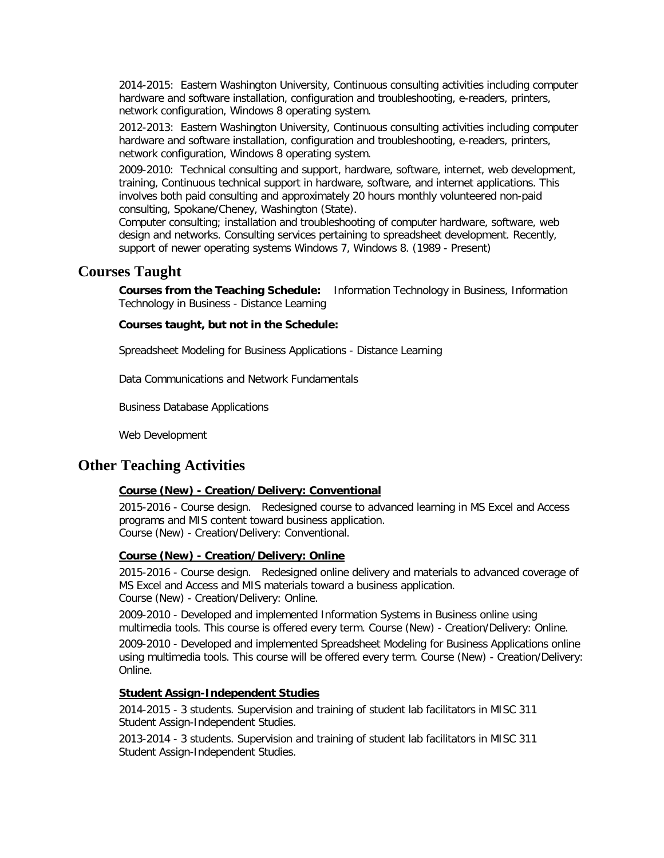2014-2015: Eastern Washington University, Continuous consulting activities including computer hardware and software installation, configuration and troubleshooting, e-readers, printers, network configuration, Windows 8 operating system.

2012-2013: Eastern Washington University, Continuous consulting activities including computer hardware and software installation, configuration and troubleshooting, e-readers, printers, network configuration, Windows 8 operating system.

2009-2010: Technical consulting and support, hardware, software, internet, web development, training, Continuous technical support in hardware, software, and internet applications. This involves both paid consulting and approximately 20 hours monthly volunteered non-paid consulting, Spokane/Cheney, Washington (State).

Computer consulting; installation and troubleshooting of computer hardware, software, web design and networks. Consulting services pertaining to spreadsheet development. Recently, support of newer operating systems Windows 7, Windows 8. (1989 - Present)

### **Courses Taught**

**Courses from the Teaching Schedule:** Information Technology in Business, Information Technology in Business - Distance Learning

#### **Courses taught, but not in the Schedule:**

Spreadsheet Modeling for Business Applications - Distance Learning

Data Communications and Network Fundamentals

Business Database Applications

Web Development

## **Other Teaching Activities**

#### **Course (New) - Creation/Delivery: Conventional**

2015-2016 - Course design. Redesigned course to advanced learning in MS Excel and Access programs and MIS content toward business application. Course (New) - Creation/Delivery: Conventional.

#### **Course (New) - Creation/Delivery: Online**

2015-2016 - Course design. Redesigned online delivery and materials to advanced coverage of MS Excel and Access and MIS materials toward a business application. Course (New) - Creation/Delivery: Online.

2009-2010 - Developed and implemented Information Systems in Business online using multimedia tools. This course is offered every term. Course (New) - Creation/Delivery: Online.

2009-2010 - Developed and implemented Spreadsheet Modeling for Business Applications online using multimedia tools. This course will be offered every term. Course (New) - Creation/Delivery: Online.

#### **Student Assign-Independent Studies**

2014-2015 - 3 students. Supervision and training of student lab facilitators in MISC 311 Student Assign-Independent Studies.

2013-2014 - 3 students. Supervision and training of student lab facilitators in MISC 311 Student Assign-Independent Studies.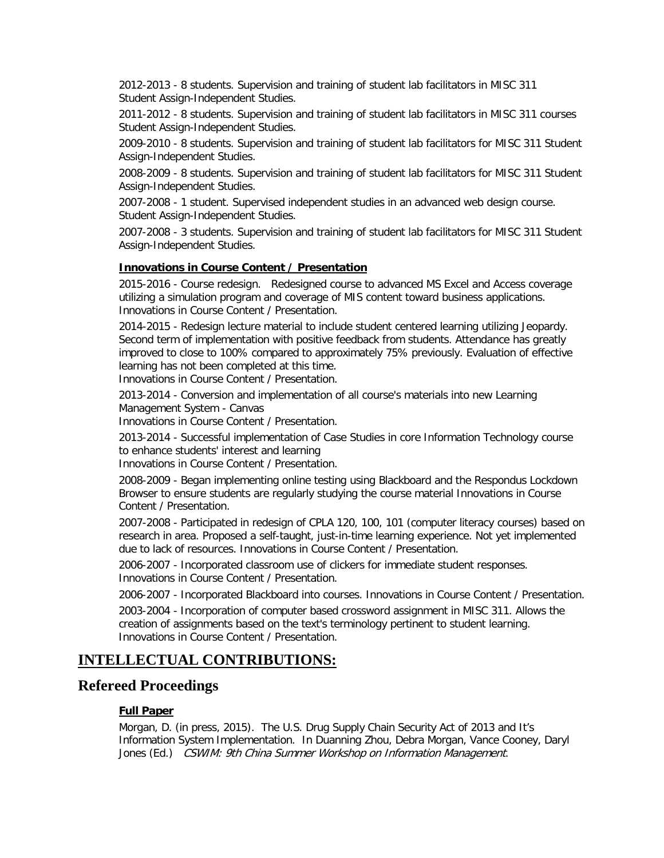2012-2013 - 8 students. Supervision and training of student lab facilitators in MISC 311 Student Assign-Independent Studies.

2011-2012 - 8 students. Supervision and training of student lab facilitators in MISC 311 courses Student Assign-Independent Studies.

2009-2010 - 8 students. Supervision and training of student lab facilitators for MISC 311 Student Assign-Independent Studies.

2008-2009 - 8 students. Supervision and training of student lab facilitators for MISC 311 Student Assign-Independent Studies.

2007-2008 - 1 student. Supervised independent studies in an advanced web design course. Student Assign-Independent Studies.

2007-2008 - 3 students. Supervision and training of student lab facilitators for MISC 311 Student Assign-Independent Studies.

### **Innovations in Course Content / Presentation**

2015-2016 - Course redesign. Redesigned course to advanced MS Excel and Access coverage utilizing a simulation program and coverage of MIS content toward business applications. Innovations in Course Content / Presentation.

2014-2015 - Redesign lecture material to include student centered learning utilizing Jeopardy. Second term of implementation with positive feedback from students. Attendance has greatly improved to close to 100% compared to approximately 75% previously. Evaluation of effective learning has not been completed at this time.

Innovations in Course Content / Presentation.

2013-2014 - Conversion and implementation of all course's materials into new Learning Management System - Canvas

Innovations in Course Content / Presentation.

2013-2014 - Successful implementation of Case Studies in core Information Technology course to enhance students' interest and learning

Innovations in Course Content / Presentation.

2008-2009 - Began implementing online testing using Blackboard and the Respondus Lockdown Browser to ensure students are regularly studying the course material Innovations in Course Content / Presentation.

2007-2008 - Participated in redesign of CPLA 120, 100, 101 (computer literacy courses) based on research in area. Proposed a self-taught, just-in-time learning experience. Not yet implemented due to lack of resources. Innovations in Course Content / Presentation.

2006-2007 - Incorporated classroom use of clickers for immediate student responses. Innovations in Course Content / Presentation.

2006-2007 - Incorporated Blackboard into courses. Innovations in Course Content / Presentation.

2003-2004 - Incorporation of computer based crossword assignment in MISC 311. Allows the creation of assignments based on the text's terminology pertinent to student learning. Innovations in Course Content / Presentation.

# **INTELLECTUAL CONTRIBUTIONS:**

## **Refereed Proceedings**

### **Full Paper**

Morgan, D. (in press, 2015). The U.S. Drug Supply Chain Security Act of 2013 and It's Information System Implementation. In Duanning Zhou, Debra Morgan, Vance Cooney, Daryl Jones (Ed.) CSWIM: 9th China Summer Workshop on Information Management.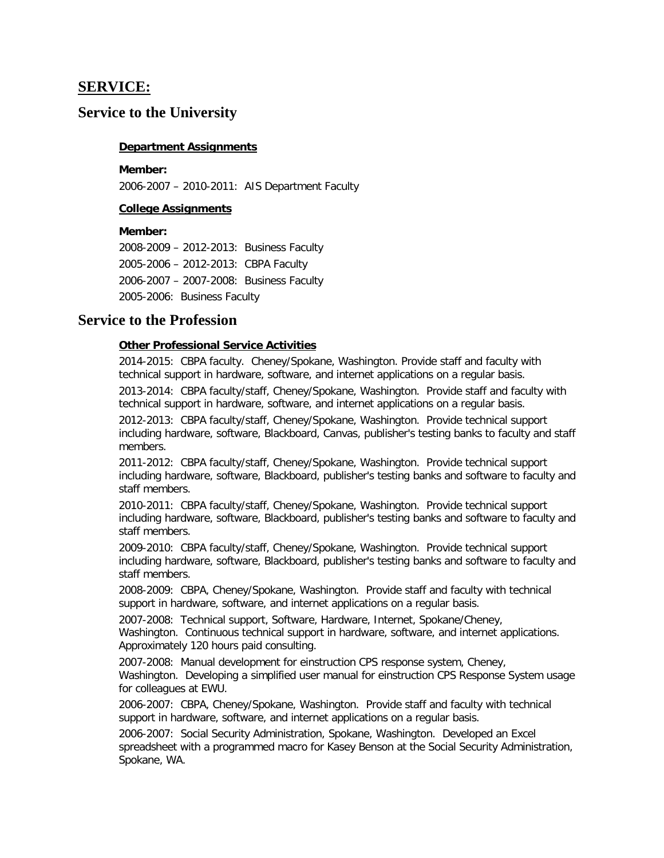## **SERVICE:**

## **Service to the University**

### **Department Assignments**

#### **Member:**

2006-2007 – 2010-2011: AIS Department Faculty

### **College Assignments**

#### **Member:**

2008-2009 – 2012-2013: Business Faculty 2005-2006 – 2012-2013: CBPA Faculty 2006-2007 – 2007-2008: Business Faculty 2005-2006: Business Faculty

## **Service to the Profession**

#### **Other Professional Service Activities**

2014-2015: CBPA faculty. Cheney/Spokane, Washington. Provide staff and faculty with technical support in hardware, software, and internet applications on a regular basis.

2013-2014: CBPA faculty/staff, Cheney/Spokane, Washington. Provide staff and faculty with technical support in hardware, software, and internet applications on a regular basis.

2012-2013: CBPA faculty/staff, Cheney/Spokane, Washington. Provide technical support including hardware, software, Blackboard, Canvas, publisher's testing banks to faculty and staff members.

2011-2012: CBPA faculty/staff, Cheney/Spokane, Washington. Provide technical support including hardware, software, Blackboard, publisher's testing banks and software to faculty and staff members.

2010-2011: CBPA faculty/staff, Cheney/Spokane, Washington. Provide technical support including hardware, software, Blackboard, publisher's testing banks and software to faculty and staff members.

2009-2010: CBPA faculty/staff, Cheney/Spokane, Washington. Provide technical support including hardware, software, Blackboard, publisher's testing banks and software to faculty and staff members.

2008-2009: CBPA, Cheney/Spokane, Washington. Provide staff and faculty with technical support in hardware, software, and internet applications on a regular basis.

2007-2008: Technical support, Software, Hardware, Internet, Spokane/Cheney, Washington. Continuous technical support in hardware, software, and internet applications. Approximately 120 hours paid consulting.

2007-2008: Manual development for einstruction CPS response system, Cheney, Washington. Developing a simplified user manual for einstruction CPS Response System usage for colleagues at EWU.

2006-2007: CBPA, Cheney/Spokane, Washington. Provide staff and faculty with technical support in hardware, software, and internet applications on a regular basis.

2006-2007: Social Security Administration, Spokane, Washington. Developed an Excel spreadsheet with a programmed macro for Kasey Benson at the Social Security Administration, Spokane, WA.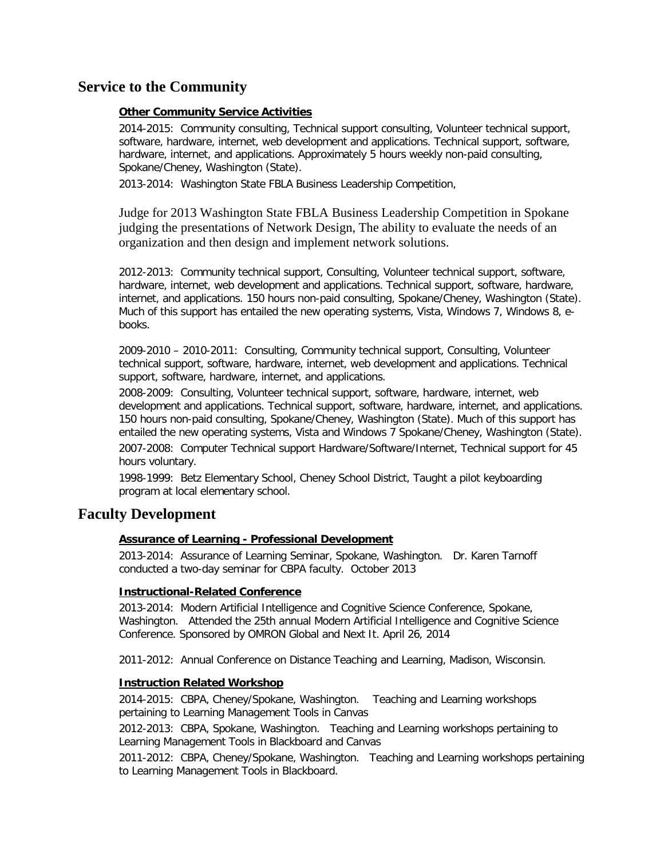# **Service to the Community**

### **Other Community Service Activities**

2014-2015: Community consulting, Technical support consulting, Volunteer technical support, software, hardware, internet, web development and applications. Technical support, software, hardware, internet, and applications. Approximately 5 hours weekly non-paid consulting, Spokane/Cheney, Washington (State).

2013-2014: Washington State FBLA Business Leadership Competition,

Judge for 2013 Washington State FBLA Business Leadership Competition in Spokane judging the presentations of Network Design, The ability to evaluate the needs of an organization and then design and implement network solutions.

2012-2013: Community technical support, Consulting, Volunteer technical support, software, hardware, internet, web development and applications. Technical support, software, hardware, internet, and applications. 150 hours non-paid consulting, Spokane/Cheney, Washington (State). Much of this support has entailed the new operating systems, Vista, Windows 7, Windows 8, ebooks.

2009-2010 – 2010-2011: Consulting, Community technical support, Consulting, Volunteer technical support, software, hardware, internet, web development and applications. Technical support, software, hardware, internet, and applications.

2008-2009: Consulting, Volunteer technical support, software, hardware, internet, web development and applications. Technical support, software, hardware, internet, and applications. 150 hours non-paid consulting, Spokane/Cheney, Washington (State). Much of this support has entailed the new operating systems, Vista and Windows 7 Spokane/Cheney, Washington (State).

2007-2008: Computer Technical support Hardware/Software/Internet, Technical support for 45 hours voluntary.

1998-1999: Betz Elementary School, Cheney School District, Taught a pilot keyboarding program at local elementary school.

## **Faculty Development**

### **Assurance of Learning - Professional Development**

2013-2014: Assurance of Learning Seminar, Spokane, Washington. Dr. Karen Tarnoff conducted a two-day seminar for CBPA faculty. October 2013

### **Instructional-Related Conference**

2013-2014: Modern Artificial Intelligence and Cognitive Science Conference, Spokane, Washington. Attended the 25th annual Modern Artificial Intelligence and Cognitive Science Conference. Sponsored by OMRON Global and Next It. April 26, 2014

2011-2012: Annual Conference on Distance Teaching and Learning, Madison, Wisconsin.

### **Instruction Related Workshop**

2014-2015: CBPA, Cheney/Spokane, Washington. Teaching and Learning workshops pertaining to Learning Management Tools in Canvas

2012-2013: CBPA, Spokane, Washington. Teaching and Learning workshops pertaining to Learning Management Tools in Blackboard and Canvas

2011-2012: CBPA, Cheney/Spokane, Washington. Teaching and Learning workshops pertaining to Learning Management Tools in Blackboard.